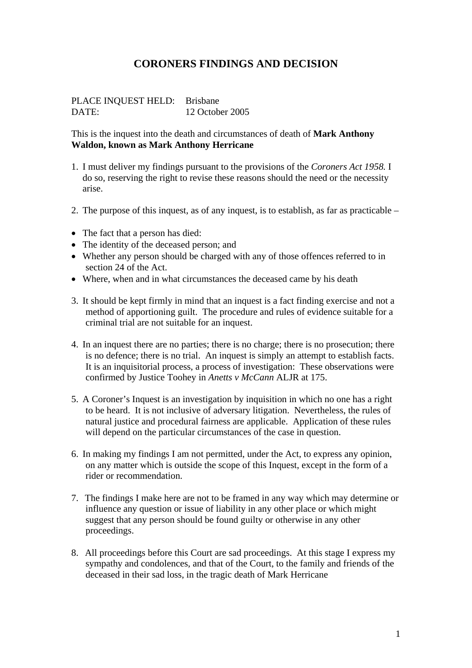# **CORONERS FINDINGS AND DECISION**

PLACE INQUEST HELD: Brisbane DATE: 12 October 2005

This is the inquest into the death and circumstances of death of **Mark Anthony Waldon, known as Mark Anthony Herricane** 

- 1. I must deliver my findings pursuant to the provisions of the *Coroners Act 1958.* I do so, reserving the right to revise these reasons should the need or the necessity arise.
- 2. The purpose of this inquest, as of any inquest, is to establish, as far as practicable –
- The fact that a person has died:
- The identity of the deceased person; and
- Whether any person should be charged with any of those offences referred to in section 24 of the Act.
- Where, when and in what circumstances the deceased came by his death
- 3. It should be kept firmly in mind that an inquest is a fact finding exercise and not a method of apportioning guilt. The procedure and rules of evidence suitable for a criminal trial are not suitable for an inquest.
- 4. In an inquest there are no parties; there is no charge; there is no prosecution; there is no defence; there is no trial. An inquest is simply an attempt to establish facts. It is an inquisitorial process, a process of investigation: These observations were confirmed by Justice Toohey in *Anetts v McCann* ALJR at 175.
- 5. A Coroner's Inquest is an investigation by inquisition in which no one has a right to be heard. It is not inclusive of adversary litigation. Nevertheless, the rules of natural justice and procedural fairness are applicable. Application of these rules will depend on the particular circumstances of the case in question.
- 6. In making my findings I am not permitted, under the Act, to express any opinion, on any matter which is outside the scope of this Inquest, except in the form of a rider or recommendation.
- 7. The findings I make here are not to be framed in any way which may determine or influence any question or issue of liability in any other place or which might suggest that any person should be found guilty or otherwise in any other proceedings.
- 8. All proceedings before this Court are sad proceedings. At this stage I express my sympathy and condolences, and that of the Court, to the family and friends of the deceased in their sad loss, in the tragic death of Mark Herricane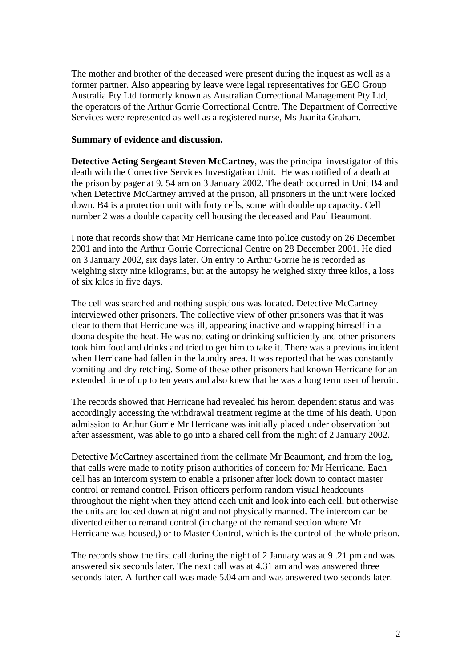The mother and brother of the deceased were present during the inquest as well as a former partner. Also appearing by leave were legal representatives for GEO Group Australia Pty Ltd formerly known as Australian Correctional Management Pty Ltd, the operators of the Arthur Gorrie Correctional Centre. The Department of Corrective Services were represented as well as a registered nurse, Ms Juanita Graham.

#### **Summary of evidence and discussion.**

**Detective Acting Sergeant Steven McCartney**, was the principal investigator of this death with the Corrective Services Investigation Unit. He was notified of a death at the prison by pager at 9. 54 am on 3 January 2002. The death occurred in Unit B4 and when Detective McCartney arrived at the prison, all prisoners in the unit were locked down. B4 is a protection unit with forty cells, some with double up capacity. Cell number 2 was a double capacity cell housing the deceased and Paul Beaumont.

I note that records show that Mr Herricane came into police custody on 26 December 2001 and into the Arthur Gorrie Correctional Centre on 28 December 2001. He died on 3 January 2002, six days later. On entry to Arthur Gorrie he is recorded as weighing sixty nine kilograms, but at the autopsy he weighed sixty three kilos, a loss of six kilos in five days.

The cell was searched and nothing suspicious was located. Detective McCartney interviewed other prisoners. The collective view of other prisoners was that it was clear to them that Herricane was ill, appearing inactive and wrapping himself in a doona despite the heat. He was not eating or drinking sufficiently and other prisoners took him food and drinks and tried to get him to take it. There was a previous incident when Herricane had fallen in the laundry area. It was reported that he was constantly vomiting and dry retching. Some of these other prisoners had known Herricane for an extended time of up to ten years and also knew that he was a long term user of heroin.

The records showed that Herricane had revealed his heroin dependent status and was accordingly accessing the withdrawal treatment regime at the time of his death. Upon admission to Arthur Gorrie Mr Herricane was initially placed under observation but after assessment, was able to go into a shared cell from the night of 2 January 2002.

Detective McCartney ascertained from the cellmate Mr Beaumont, and from the log, that calls were made to notify prison authorities of concern for Mr Herricane. Each cell has an intercom system to enable a prisoner after lock down to contact master control or remand control. Prison officers perform random visual headcounts throughout the night when they attend each unit and look into each cell, but otherwise the units are locked down at night and not physically manned. The intercom can be diverted either to remand control (in charge of the remand section where Mr Herricane was housed,) or to Master Control, which is the control of the whole prison.

The records show the first call during the night of 2 January was at 9 .21 pm and was answered six seconds later. The next call was at 4.31 am and was answered three seconds later. A further call was made 5.04 am and was answered two seconds later.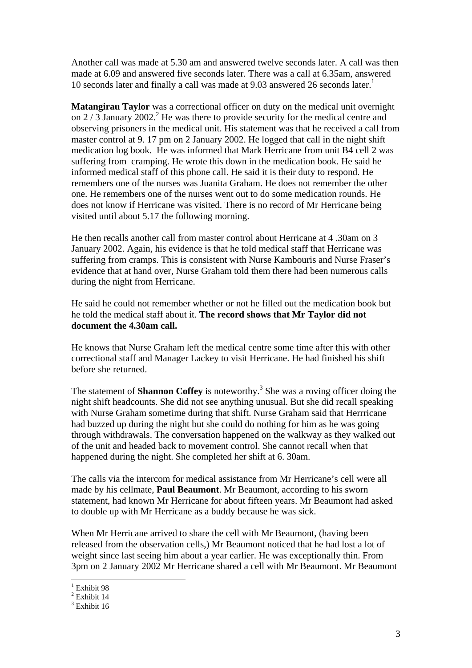Another call was made at 5.30 am and answered twelve seconds later. A call was then made at 6.09 and answered five seconds later. There was a call at 6.35am, answered 10 seconds later and finally a call was made at 9.03 answered 26 seconds later.<sup>1</sup>

**Matangirau Taylor** was a correctional officer on duty on the medical unit overnight on  $2/3$  January 2002.<sup>2</sup> He was there to provide security for the medical centre and observing prisoners in the medical unit. His statement was that he received a call from master control at 9. 17 pm on 2 January 2002. He logged that call in the night shift medication log book. He was informed that Mark Herricane from unit B4 cell 2 was suffering from cramping. He wrote this down in the medication book. He said he informed medical staff of this phone call. He said it is their duty to respond. He remembers one of the nurses was Juanita Graham. He does not remember the other one. He remembers one of the nurses went out to do some medication rounds. He does not know if Herricane was visited. There is no record of Mr Herricane being visited until about 5.17 the following morning.

He then recalls another call from master control about Herricane at 4 .30am on 3 January 2002. Again, his evidence is that he told medical staff that Herricane was suffering from cramps. This is consistent with Nurse Kambouris and Nurse Fraser's evidence that at hand over, Nurse Graham told them there had been numerous calls during the night from Herricane.

He said he could not remember whether or not he filled out the medication book but he told the medical staff about it. **The record shows that Mr Taylor did not document the 4.30am call.** 

He knows that Nurse Graham left the medical centre some time after this with other correctional staff and Manager Lackey to visit Herricane. He had finished his shift before she returned.

The statement of **Shannon Coffey** is noteworthy.<sup>3</sup> She was a roving officer doing the night shift headcounts. She did not see anything unusual. But she did recall speaking with Nurse Graham sometime during that shift. Nurse Graham said that Herrricane had buzzed up during the night but she could do nothing for him as he was going through withdrawals. The conversation happened on the walkway as they walked out of the unit and headed back to movement control. She cannot recall when that happened during the night. She completed her shift at 6. 30am.

The calls via the intercom for medical assistance from Mr Herricane's cell were all made by his cellmate, **Paul Beaumont**. Mr Beaumont, according to his sworn statement, had known Mr Herricane for about fifteen years. Mr Beaumont had asked to double up with Mr Herricane as a buddy because he was sick.

When Mr Herricane arrived to share the cell with Mr Beaumont, (having been released from the observation cells,) Mr Beaumont noticed that he had lost a lot of weight since last seeing him about a year earlier. He was exceptionally thin. From 3pm on 2 January 2002 Mr Herricane shared a cell with Mr Beaumont. Mr Beaumont

1

<sup>&</sup>lt;sup>1</sup> Exhibit 98

 $2$  Exhibit 14

<sup>&</sup>lt;sup>3</sup> Exhibit 16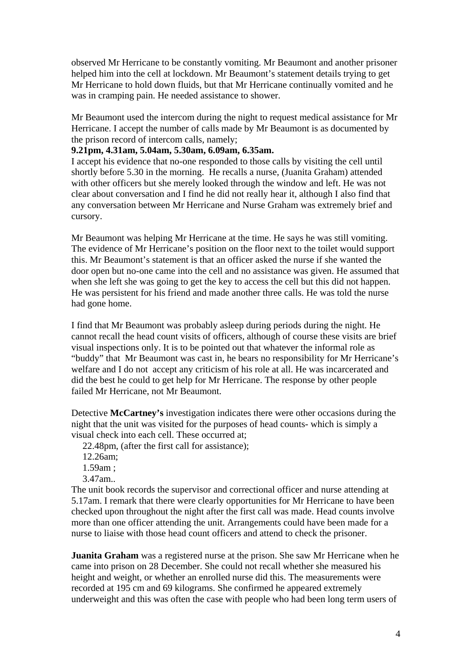observed Mr Herricane to be constantly vomiting. Mr Beaumont and another prisoner helped him into the cell at lockdown. Mr Beaumont's statement details trying to get Mr Herricane to hold down fluids, but that Mr Herricane continually vomited and he was in cramping pain. He needed assistance to shower.

Mr Beaumont used the intercom during the night to request medical assistance for Mr Herricane. I accept the number of calls made by Mr Beaumont is as documented by the prison record of intercom calls, namely;

#### **9.21pm, 4.31am, 5.04am, 5.30am, 6.09am, 6.35am.**

I accept his evidence that no-one responded to those calls by visiting the cell until shortly before 5.30 in the morning. He recalls a nurse, (Juanita Graham) attended with other officers but she merely looked through the window and left. He was not clear about conversation and I find he did not really hear it, although I also find that any conversation between Mr Herricane and Nurse Graham was extremely brief and cursory.

Mr Beaumont was helping Mr Herricane at the time. He says he was still vomiting. The evidence of Mr Herricane's position on the floor next to the toilet would support this. Mr Beaumont's statement is that an officer asked the nurse if she wanted the door open but no-one came into the cell and no assistance was given. He assumed that when she left she was going to get the key to access the cell but this did not happen. He was persistent for his friend and made another three calls. He was told the nurse had gone home.

I find that Mr Beaumont was probably asleep during periods during the night. He cannot recall the head count visits of officers, although of course these visits are brief visual inspections only. It is to be pointed out that whatever the informal role as "buddy" that Mr Beaumont was cast in, he bears no responsibility for Mr Herricane's welfare and I do not accept any criticism of his role at all. He was incarcerated and did the best he could to get help for Mr Herricane. The response by other people failed Mr Herricane, not Mr Beaumont.

Detective **McCartney's** investigation indicates there were other occasions during the night that the unit was visited for the purposes of head counts- which is simply a visual check into each cell. These occurred at;

22.48pm, (after the first call for assistance);

12.26am;

1.59am ;

3.47am..

The unit book records the supervisor and correctional officer and nurse attending at 5.17am. I remark that there were clearly opportunities for Mr Herricane to have been checked upon throughout the night after the first call was made. Head counts involve more than one officer attending the unit. Arrangements could have been made for a nurse to liaise with those head count officers and attend to check the prisoner.

**Juanita Graham** was a registered nurse at the prison. She saw Mr Herricane when he came into prison on 28 December. She could not recall whether she measured his height and weight, or whether an enrolled nurse did this. The measurements were recorded at 195 cm and 69 kilograms. She confirmed he appeared extremely underweight and this was often the case with people who had been long term users of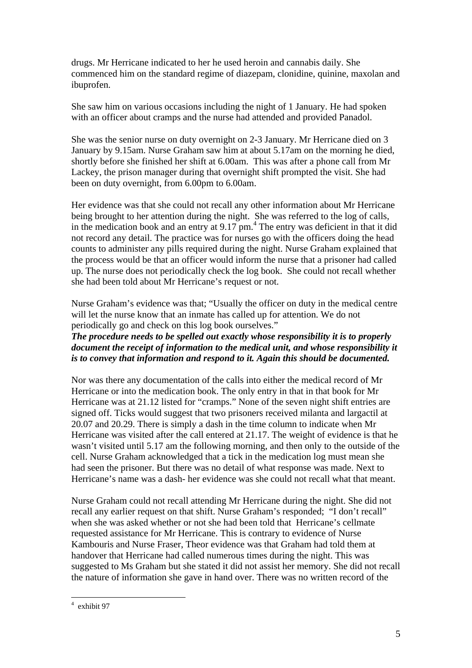drugs. Mr Herricane indicated to her he used heroin and cannabis daily. She commenced him on the standard regime of diazepam, clonidine, quinine, maxolan and ibuprofen.

She saw him on various occasions including the night of 1 January. He had spoken with an officer about cramps and the nurse had attended and provided Panadol.

She was the senior nurse on duty overnight on 2-3 January. Mr Herricane died on 3 January by 9.15am. Nurse Graham saw him at about 5.17am on the morning he died, shortly before she finished her shift at 6.00am. This was after a phone call from Mr Lackey, the prison manager during that overnight shift prompted the visit. She had been on duty overnight, from 6.00pm to 6.00am.

Her evidence was that she could not recall any other information about Mr Herricane being brought to her attention during the night. She was referred to the log of calls, in the medication book and an entry at  $9.17 \text{ pm}$ .<sup>4</sup> The entry was deficient in that it did not record any detail. The practice was for nurses go with the officers doing the head counts to administer any pills required during the night. Nurse Graham explained that the process would be that an officer would inform the nurse that a prisoner had called up. The nurse does not periodically check the log book. She could not recall whether she had been told about Mr Herricane's request or not.

Nurse Graham's evidence was that; "Usually the officer on duty in the medical centre will let the nurse know that an inmate has called up for attention. We do not periodically go and check on this log book ourselves."

*The procedure needs to be spelled out exactly whose responsibility it is to properly document the receipt of information to the medical unit, and whose responsibility it is to convey that information and respond to it. Again this should be documented.* 

Nor was there any documentation of the calls into either the medical record of Mr Herricane or into the medication book. The only entry in that in that book for Mr Herricane was at 21.12 listed for "cramps." None of the seven night shift entries are signed off. Ticks would suggest that two prisoners received milanta and largactil at 20.07 and 20.29. There is simply a dash in the time column to indicate when Mr Herricane was visited after the call entered at 21.17. The weight of evidence is that he wasn't visited until 5.17 am the following morning, and then only to the outside of the cell. Nurse Graham acknowledged that a tick in the medication log must mean she had seen the prisoner. But there was no detail of what response was made. Next to Herricane's name was a dash- her evidence was she could not recall what that meant.

Nurse Graham could not recall attending Mr Herricane during the night. She did not recall any earlier request on that shift. Nurse Graham's responded; "I don't recall" when she was asked whether or not she had been told that Herricane's cellmate requested assistance for Mr Herricane. This is contrary to evidence of Nurse Kambouris and Nurse Fraser, Theor evidence was that Graham had told them at handover that Herricane had called numerous times during the night. This was suggested to Ms Graham but she stated it did not assist her memory. She did not recall the nature of information she gave in hand over. There was no written record of the

 4 exhibit 97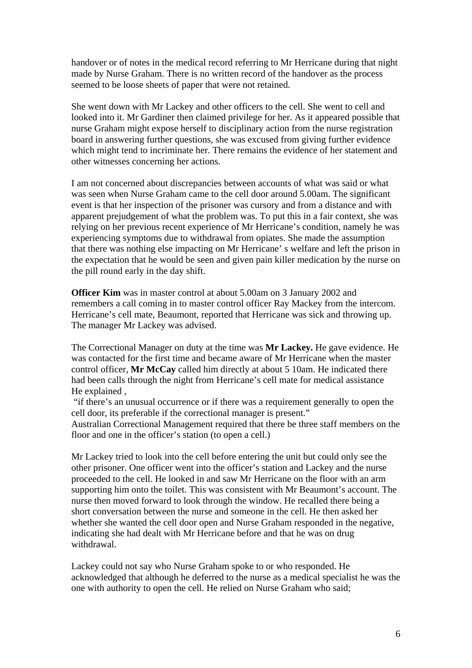handover or of notes in the medical record referring to Mr Herricane during that night made by Nurse Graham. There is no written record of the handover as the process seemed to be loose sheets of paper that were not retained.

She went down with Mr Lackey and other officers to the cell. She went to cell and looked into it. Mr Gardiner then claimed privilege for her. As it appeared possible that nurse Graham might expose herself to disciplinary action from the nurse registration board in answering further questions, she was excused from giving further evidence which might tend to incriminate her. There remains the evidence of her statement and other witnesses concerning her actions.

I am not concerned about discrepancies between accounts of what was said or what was seen when Nurse Graham came to the cell door around 5.00am. The significant event is that her inspection of the prisoner was cursory and from a distance and with apparent prejudgement of what the problem was. To put this in a fair context, she was relying on her previous recent experience of Mr Herricane's condition, namely he was experiencing symptoms due to withdrawal from opiates. She made the assumption that there was nothing else impacting on Mr Herricane' s welfare and left the prison in the expectation that he would be seen and given pain killer medication by the nurse on the pill round early in the day shift.

**Officer Kim** was in master control at about 5.00am on 3 January 2002 and remembers a call coming in to master control officer Ray Mackey from the intercom. Herricane's cell mate, Beaumont, reported that Herricane was sick and throwing up. The manager Mr Lackey was advised.

The Correctional Manager on duty at the time was **Mr Lackey.** He gave evidence. He was contacted for the first time and became aware of Mr Herricane when the master control officer, **Mr McCay** called him directly at about 5 10am. He indicated there had been calls through the night from Herricane's cell mate for medical assistance He explained ,

 "if there's an unusual occurrence or if there was a requirement generally to open the cell door, its preferable if the correctional manager is present."

Australian Correctional Management required that there be three staff members on the floor and one in the officer's station (to open a cell.)

Mr Lackey tried to look into the cell before entering the unit but could only see the other prisoner. One officer went into the officer's station and Lackey and the nurse proceeded to the cell. He looked in and saw Mr Herricane on the floor with an arm supporting him onto the toilet. This was consistent with Mr Beaumont's account. The nurse then moved forward to look through the window. He recalled there being a short conversation between the nurse and someone in the cell. He then asked her whether she wanted the cell door open and Nurse Graham responded in the negative, indicating she had dealt with Mr Herricane before and that he was on drug withdrawal.

Lackey could not say who Nurse Graham spoke to or who responded. He acknowledged that although he deferred to the nurse as a medical specialist he was the one with authority to open the cell. He relied on Nurse Graham who said;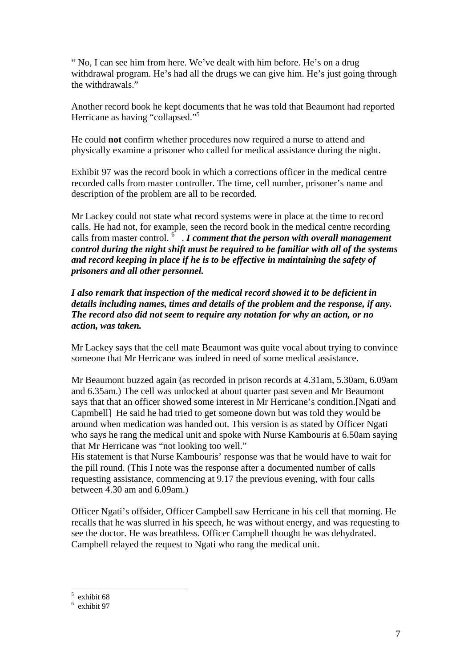" No, I can see him from here. We've dealt with him before. He's on a drug withdrawal program. He's had all the drugs we can give him. He's just going through the withdrawals."

Another record book he kept documents that he was told that Beaumont had reported Herricane as having "collapsed."5

He could **not** confirm whether procedures now required a nurse to attend and physically examine a prisoner who called for medical assistance during the night.

Exhibit 97 was the record book in which a corrections officer in the medical centre recorded calls from master controller. The time, cell number, prisoner's name and description of the problem are all to be recorded.

Mr Lackey could not state what record systems were in place at the time to record calls. He had not, for example, seen the record book in the medical centre recording calls from master control.  $\delta$   $\cdot$  *I comment that the person with overall management control during the night shift must be required to be familiar with all of the systems and record keeping in place if he is to be effective in maintaining the safety of prisoners and all other personnel.* 

*I also remark that inspection of the medical record showed it to be deficient in details including names, times and details of the problem and the response, if any. The record also did not seem to require any notation for why an action, or no action, was taken.* 

Mr Lackey says that the cell mate Beaumont was quite vocal about trying to convince someone that Mr Herricane was indeed in need of some medical assistance.

Mr Beaumont buzzed again (as recorded in prison records at 4.31am, 5.30am, 6.09am and 6.35am.) The cell was unlocked at about quarter past seven and Mr Beaumont says that that an officer showed some interest in Mr Herricane's condition.[Ngati and Capmbell] He said he had tried to get someone down but was told they would be around when medication was handed out. This version is as stated by Officer Ngati who says he rang the medical unit and spoke with Nurse Kambouris at 6.50am saying that Mr Herricane was "not looking too well."

His statement is that Nurse Kambouris' response was that he would have to wait for the pill round. (This I note was the response after a documented number of calls requesting assistance, commencing at 9.17 the previous evening, with four calls between 4.30 am and 6.09am.)

Officer Ngati's offsider, Officer Campbell saw Herricane in his cell that morning. He recalls that he was slurred in his speech, he was without energy, and was requesting to see the doctor. He was breathless. Officer Campbell thought he was dehydrated. Campbell relayed the request to Ngati who rang the medical unit.

 $\frac{1}{5}$  exhibit 68

<sup>6</sup> exhibit 97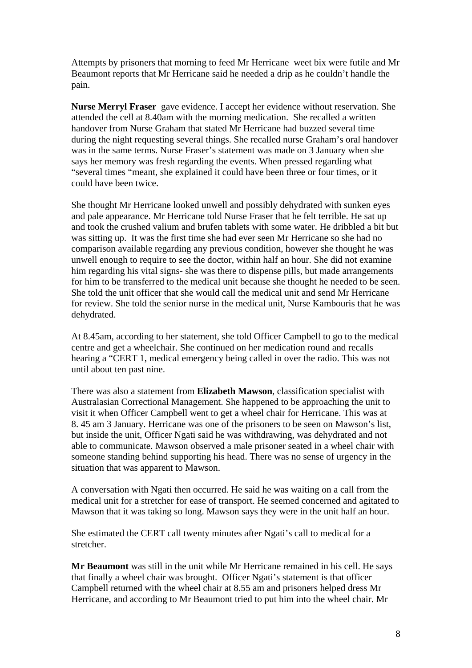Attempts by prisoners that morning to feed Mr Herricane weet bix were futile and Mr Beaumont reports that Mr Herricane said he needed a drip as he couldn't handle the pain.

**Nurse Merryl Fraser** gave evidence. I accept her evidence without reservation. She attended the cell at 8.40am with the morning medication. She recalled a written handover from Nurse Graham that stated Mr Herricane had buzzed several time during the night requesting several things. She recalled nurse Graham's oral handover was in the same terms. Nurse Fraser's statement was made on 3 January when she says her memory was fresh regarding the events. When pressed regarding what "several times "meant, she explained it could have been three or four times, or it could have been twice.

She thought Mr Herricane looked unwell and possibly dehydrated with sunken eyes and pale appearance. Mr Herricane told Nurse Fraser that he felt terrible. He sat up and took the crushed valium and brufen tablets with some water. He dribbled a bit but was sitting up. It was the first time she had ever seen Mr Herricane so she had no comparison available regarding any previous condition, however she thought he was unwell enough to require to see the doctor, within half an hour. She did not examine him regarding his vital signs- she was there to dispense pills, but made arrangements for him to be transferred to the medical unit because she thought he needed to be seen. She told the unit officer that she would call the medical unit and send Mr Herricane for review. She told the senior nurse in the medical unit, Nurse Kambouris that he was dehydrated.

At 8.45am, according to her statement, she told Officer Campbell to go to the medical centre and get a wheelchair. She continued on her medication round and recalls hearing a "CERT 1, medical emergency being called in over the radio. This was not until about ten past nine.

There was also a statement from **Elizabeth Mawson**, classification specialist with Australasian Correctional Management. She happened to be approaching the unit to visit it when Officer Campbell went to get a wheel chair for Herricane. This was at 8. 45 am 3 January. Herricane was one of the prisoners to be seen on Mawson's list, but inside the unit, Officer Ngati said he was withdrawing, was dehydrated and not able to communicate. Mawson observed a male prisoner seated in a wheel chair with someone standing behind supporting his head. There was no sense of urgency in the situation that was apparent to Mawson.

A conversation with Ngati then occurred. He said he was waiting on a call from the medical unit for a stretcher for ease of transport. He seemed concerned and agitated to Mawson that it was taking so long. Mawson says they were in the unit half an hour.

She estimated the CERT call twenty minutes after Ngati's call to medical for a stretcher.

**Mr Beaumont** was still in the unit while Mr Herricane remained in his cell. He says that finally a wheel chair was brought. Officer Ngati's statement is that officer Campbell returned with the wheel chair at 8.55 am and prisoners helped dress Mr Herricane, and according to Mr Beaumont tried to put him into the wheel chair. Mr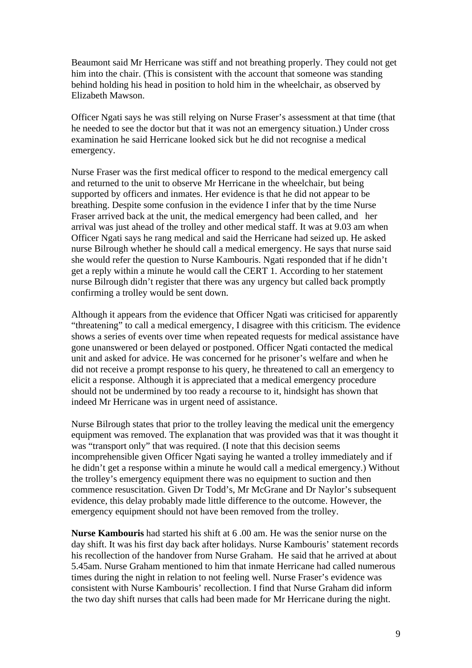Beaumont said Mr Herricane was stiff and not breathing properly. They could not get him into the chair. (This is consistent with the account that someone was standing behind holding his head in position to hold him in the wheelchair, as observed by Elizabeth Mawson.

Officer Ngati says he was still relying on Nurse Fraser's assessment at that time (that he needed to see the doctor but that it was not an emergency situation.) Under cross examination he said Herricane looked sick but he did not recognise a medical emergency.

Nurse Fraser was the first medical officer to respond to the medical emergency call and returned to the unit to observe Mr Herricane in the wheelchair, but being supported by officers and inmates. Her evidence is that he did not appear to be breathing. Despite some confusion in the evidence I infer that by the time Nurse Fraser arrived back at the unit, the medical emergency had been called, and her arrival was just ahead of the trolley and other medical staff. It was at 9.03 am when Officer Ngati says he rang medical and said the Herricane had seized up. He asked nurse Bilrough whether he should call a medical emergency. He says that nurse said she would refer the question to Nurse Kambouris. Ngati responded that if he didn't get a reply within a minute he would call the CERT 1. According to her statement nurse Bilrough didn't register that there was any urgency but called back promptly confirming a trolley would be sent down.

Although it appears from the evidence that Officer Ngati was criticised for apparently "threatening" to call a medical emergency, I disagree with this criticism. The evidence shows a series of events over time when repeated requests for medical assistance have gone unanswered or been delayed or postponed. Officer Ngati contacted the medical unit and asked for advice. He was concerned for he prisoner's welfare and when he did not receive a prompt response to his query, he threatened to call an emergency to elicit a response. Although it is appreciated that a medical emergency procedure should not be undermined by too ready a recourse to it, hindsight has shown that indeed Mr Herricane was in urgent need of assistance.

Nurse Bilrough states that prior to the trolley leaving the medical unit the emergency equipment was removed. The explanation that was provided was that it was thought it was "transport only" that was required. (I note that this decision seems incomprehensible given Officer Ngati saying he wanted a trolley immediately and if he didn't get a response within a minute he would call a medical emergency.) Without the trolley's emergency equipment there was no equipment to suction and then commence resuscitation. Given Dr Todd's, Mr McGrane and Dr Naylor's subsequent evidence, this delay probably made little difference to the outcome. However, the emergency equipment should not have been removed from the trolley.

**Nurse Kambouris** had started his shift at 6 .00 am. He was the senior nurse on the day shift. It was his first day back after holidays. Nurse Kambouris' statement records his recollection of the handover from Nurse Graham. He said that he arrived at about 5.45am. Nurse Graham mentioned to him that inmate Herricane had called numerous times during the night in relation to not feeling well. Nurse Fraser's evidence was consistent with Nurse Kambouris' recollection. I find that Nurse Graham did inform the two day shift nurses that calls had been made for Mr Herricane during the night.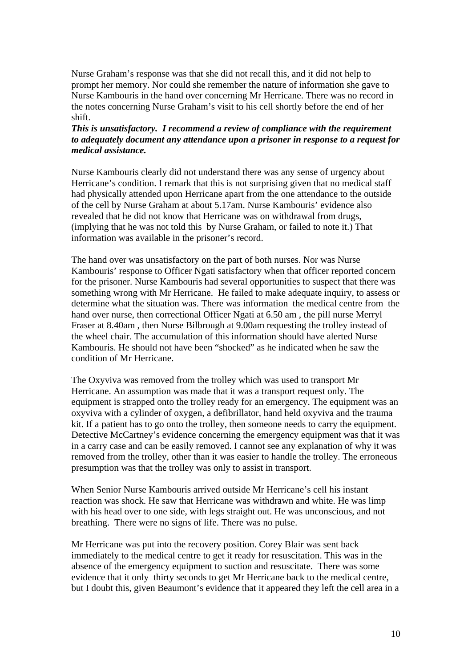Nurse Graham's response was that she did not recall this, and it did not help to prompt her memory. Nor could she remember the nature of information she gave to Nurse Kambouris in the hand over concerning Mr Herricane. There was no record in the notes concerning Nurse Graham's visit to his cell shortly before the end of her shift.

# *This is unsatisfactory. I recommend a review of compliance with the requirement to adequately document any attendance upon a prisoner in response to a request for medical assistance.*

Nurse Kambouris clearly did not understand there was any sense of urgency about Herricane's condition. I remark that this is not surprising given that no medical staff had physically attended upon Herricane apart from the one attendance to the outside of the cell by Nurse Graham at about 5.17am. Nurse Kambouris' evidence also revealed that he did not know that Herricane was on withdrawal from drugs, (implying that he was not told this by Nurse Graham, or failed to note it.) That information was available in the prisoner's record.

The hand over was unsatisfactory on the part of both nurses. Nor was Nurse Kambouris' response to Officer Ngati satisfactory when that officer reported concern for the prisoner. Nurse Kambouris had several opportunities to suspect that there was something wrong with Mr Herricane. He failed to make adequate inquiry, to assess or determine what the situation was. There was information the medical centre from the hand over nurse, then correctional Officer Ngati at 6.50 am , the pill nurse Merryl Fraser at 8.40am , then Nurse Bilbrough at 9.00am requesting the trolley instead of the wheel chair. The accumulation of this information should have alerted Nurse Kambouris. He should not have been "shocked" as he indicated when he saw the condition of Mr Herricane.

The Oxyviva was removed from the trolley which was used to transport Mr Herricane. An assumption was made that it was a transport request only. The equipment is strapped onto the trolley ready for an emergency. The equipment was an oxyviva with a cylinder of oxygen, a defibrillator, hand held oxyviva and the trauma kit. If a patient has to go onto the trolley, then someone needs to carry the equipment. Detective McCartney's evidence concerning the emergency equipment was that it was in a carry case and can be easily removed. I cannot see any explanation of why it was removed from the trolley, other than it was easier to handle the trolley. The erroneous presumption was that the trolley was only to assist in transport.

When Senior Nurse Kambouris arrived outside Mr Herricane's cell his instant reaction was shock. He saw that Herricane was withdrawn and white. He was limp with his head over to one side, with legs straight out. He was unconscious, and not breathing. There were no signs of life. There was no pulse.

Mr Herricane was put into the recovery position. Corey Blair was sent back immediately to the medical centre to get it ready for resuscitation. This was in the absence of the emergency equipment to suction and resuscitate. There was some evidence that it only thirty seconds to get Mr Herricane back to the medical centre, but I doubt this, given Beaumont's evidence that it appeared they left the cell area in a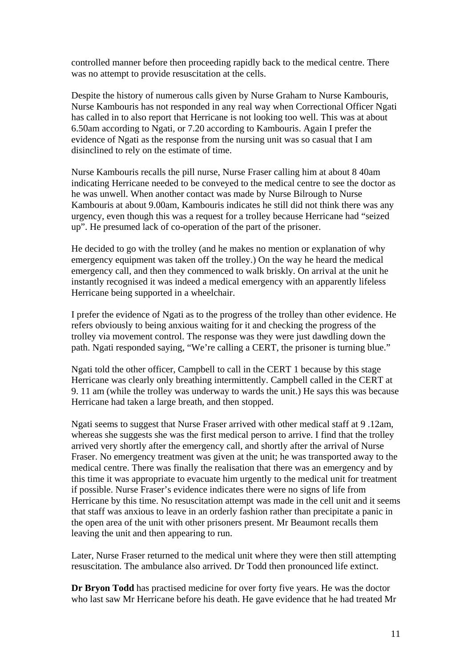controlled manner before then proceeding rapidly back to the medical centre. There was no attempt to provide resuscitation at the cells.

Despite the history of numerous calls given by Nurse Graham to Nurse Kambouris, Nurse Kambouris has not responded in any real way when Correctional Officer Ngati has called in to also report that Herricane is not looking too well. This was at about 6.50am according to Ngati, or 7.20 according to Kambouris. Again I prefer the evidence of Ngati as the response from the nursing unit was so casual that I am disinclined to rely on the estimate of time.

Nurse Kambouris recalls the pill nurse, Nurse Fraser calling him at about 8 40am indicating Herricane needed to be conveyed to the medical centre to see the doctor as he was unwell. When another contact was made by Nurse Bilrough to Nurse Kambouris at about 9.00am, Kambouris indicates he still did not think there was any urgency, even though this was a request for a trolley because Herricane had "seized up". He presumed lack of co-operation of the part of the prisoner.

He decided to go with the trolley (and he makes no mention or explanation of why emergency equipment was taken off the trolley.) On the way he heard the medical emergency call, and then they commenced to walk briskly. On arrival at the unit he instantly recognised it was indeed a medical emergency with an apparently lifeless Herricane being supported in a wheelchair.

I prefer the evidence of Ngati as to the progress of the trolley than other evidence. He refers obviously to being anxious waiting for it and checking the progress of the trolley via movement control. The response was they were just dawdling down the path. Ngati responded saying, "We're calling a CERT, the prisoner is turning blue."

Ngati told the other officer, Campbell to call in the CERT 1 because by this stage Herricane was clearly only breathing intermittently. Campbell called in the CERT at 9. 11 am (while the trolley was underway to wards the unit.) He says this was because Herricane had taken a large breath, and then stopped.

Ngati seems to suggest that Nurse Fraser arrived with other medical staff at 9 .12am, whereas she suggests she was the first medical person to arrive. I find that the trolley arrived very shortly after the emergency call, and shortly after the arrival of Nurse Fraser. No emergency treatment was given at the unit; he was transported away to the medical centre. There was finally the realisation that there was an emergency and by this time it was appropriate to evacuate him urgently to the medical unit for treatment if possible. Nurse Fraser's evidence indicates there were no signs of life from Herricane by this time. No resuscitation attempt was made in the cell unit and it seems that staff was anxious to leave in an orderly fashion rather than precipitate a panic in the open area of the unit with other prisoners present. Mr Beaumont recalls them leaving the unit and then appearing to run.

Later, Nurse Fraser returned to the medical unit where they were then still attempting resuscitation. The ambulance also arrived. Dr Todd then pronounced life extinct.

**Dr Bryon Todd** has practised medicine for over forty five years. He was the doctor who last saw Mr Herricane before his death. He gave evidence that he had treated Mr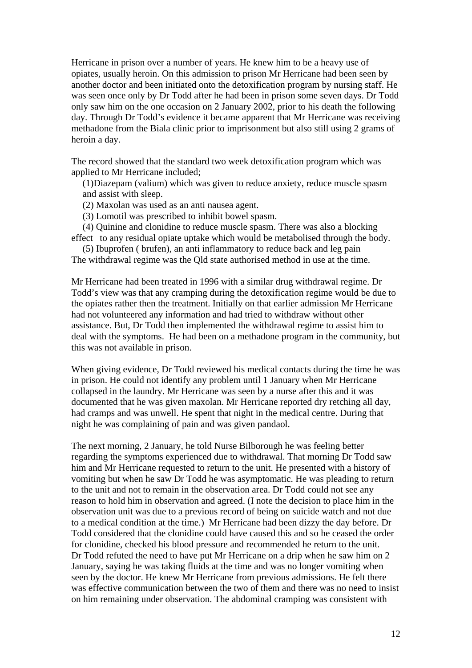Herricane in prison over a number of years. He knew him to be a heavy use of opiates, usually heroin. On this admission to prison Mr Herricane had been seen by another doctor and been initiated onto the detoxification program by nursing staff. He was seen once only by Dr Todd after he had been in prison some seven days. Dr Todd only saw him on the one occasion on 2 January 2002, prior to his death the following day. Through Dr Todd's evidence it became apparent that Mr Herricane was receiving methadone from the Biala clinic prior to imprisonment but also still using 2 grams of heroin a day.

The record showed that the standard two week detoxification program which was applied to Mr Herricane included;

(1)Diazepam (valium) which was given to reduce anxiety, reduce muscle spasm and assist with sleep.

(2) Maxolan was used as an anti nausea agent.

(3) Lomotil was prescribed to inhibit bowel spasm.

 (4) Quinine and clonidine to reduce muscle spasm. There was also a blocking effect to any residual opiate uptake which would be metabolised through the body.

 (5) Ibuprofen ( brufen), an anti inflammatory to reduce back and leg pain The withdrawal regime was the Qld state authorised method in use at the time.

Mr Herricane had been treated in 1996 with a similar drug withdrawal regime. Dr Todd's view was that any cramping during the detoxification regime would be due to the opiates rather then the treatment. Initially on that earlier admission Mr Herricane had not volunteered any information and had tried to withdraw without other assistance. But, Dr Todd then implemented the withdrawal regime to assist him to deal with the symptoms. He had been on a methadone program in the community, but this was not available in prison.

When giving evidence, Dr Todd reviewed his medical contacts during the time he was in prison. He could not identify any problem until 1 January when Mr Herricane collapsed in the laundry. Mr Herricane was seen by a nurse after this and it was documented that he was given maxolan. Mr Herricane reported dry retching all day, had cramps and was unwell. He spent that night in the medical centre. During that night he was complaining of pain and was given pandaol.

The next morning, 2 January, he told Nurse Bilborough he was feeling better regarding the symptoms experienced due to withdrawal. That morning Dr Todd saw him and Mr Herricane requested to return to the unit. He presented with a history of vomiting but when he saw Dr Todd he was asymptomatic. He was pleading to return to the unit and not to remain in the observation area. Dr Todd could not see any reason to hold him in observation and agreed. (I note the decision to place him in the observation unit was due to a previous record of being on suicide watch and not due to a medical condition at the time.) Mr Herricane had been dizzy the day before. Dr Todd considered that the clonidine could have caused this and so he ceased the order for clonidine, checked his blood pressure and recommended he return to the unit. Dr Todd refuted the need to have put Mr Herricane on a drip when he saw him on 2 January, saying he was taking fluids at the time and was no longer vomiting when seen by the doctor. He knew Mr Herricane from previous admissions. He felt there was effective communication between the two of them and there was no need to insist on him remaining under observation. The abdominal cramping was consistent with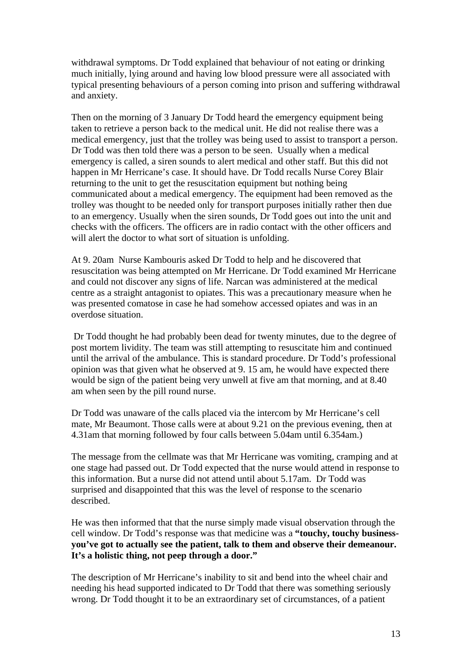withdrawal symptoms. Dr Todd explained that behaviour of not eating or drinking much initially, lying around and having low blood pressure were all associated with typical presenting behaviours of a person coming into prison and suffering withdrawal and anxiety.

Then on the morning of 3 January Dr Todd heard the emergency equipment being taken to retrieve a person back to the medical unit. He did not realise there was a medical emergency, just that the trolley was being used to assist to transport a person. Dr Todd was then told there was a person to be seen. Usually when a medical emergency is called, a siren sounds to alert medical and other staff. But this did not happen in Mr Herricane's case. It should have. Dr Todd recalls Nurse Corey Blair returning to the unit to get the resuscitation equipment but nothing being communicated about a medical emergency. The equipment had been removed as the trolley was thought to be needed only for transport purposes initially rather then due to an emergency. Usually when the siren sounds, Dr Todd goes out into the unit and checks with the officers. The officers are in radio contact with the other officers and will alert the doctor to what sort of situation is unfolding.

At 9. 20am Nurse Kambouris asked Dr Todd to help and he discovered that resuscitation was being attempted on Mr Herricane. Dr Todd examined Mr Herricane and could not discover any signs of life. Narcan was administered at the medical centre as a straight antagonist to opiates. This was a precautionary measure when he was presented comatose in case he had somehow accessed opiates and was in an overdose situation.

 Dr Todd thought he had probably been dead for twenty minutes, due to the degree of post mortem lividity. The team was still attempting to resuscitate him and continued until the arrival of the ambulance. This is standard procedure. Dr Todd's professional opinion was that given what he observed at 9. 15 am, he would have expected there would be sign of the patient being very unwell at five am that morning, and at 8.40 am when seen by the pill round nurse.

Dr Todd was unaware of the calls placed via the intercom by Mr Herricane's cell mate, Mr Beaumont. Those calls were at about 9.21 on the previous evening, then at 4.31am that morning followed by four calls between 5.04am until 6.354am.)

The message from the cellmate was that Mr Herricane was vomiting, cramping and at one stage had passed out. Dr Todd expected that the nurse would attend in response to this information. But a nurse did not attend until about 5.17am. Dr Todd was surprised and disappointed that this was the level of response to the scenario described.

He was then informed that that the nurse simply made visual observation through the cell window. Dr Todd's response was that medicine was a **"touchy, touchy businessyou've got to actually see the patient, talk to them and observe their demeanour. It's a holistic thing, not peep through a door."** 

The description of Mr Herricane's inability to sit and bend into the wheel chair and needing his head supported indicated to Dr Todd that there was something seriously wrong. Dr Todd thought it to be an extraordinary set of circumstances, of a patient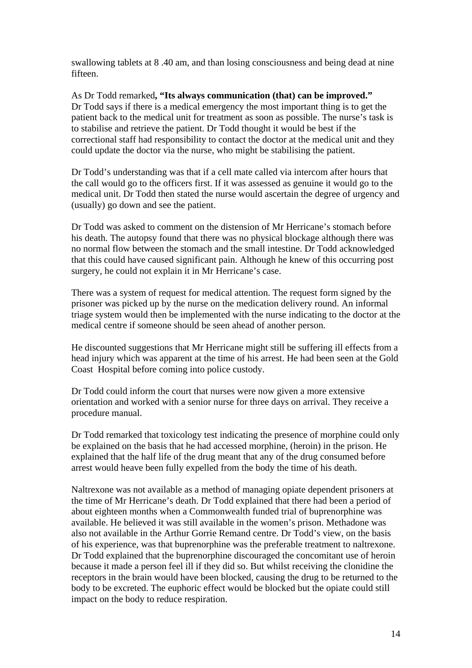swallowing tablets at 8 .40 am, and than losing consciousness and being dead at nine fifteen.

As Dr Todd remarked**, "Its always communication (that) can be improved."**  Dr Todd says if there is a medical emergency the most important thing is to get the patient back to the medical unit for treatment as soon as possible. The nurse's task is to stabilise and retrieve the patient. Dr Todd thought it would be best if the correctional staff had responsibility to contact the doctor at the medical unit and they could update the doctor via the nurse, who might be stabilising the patient.

Dr Todd's understanding was that if a cell mate called via intercom after hours that the call would go to the officers first. If it was assessed as genuine it would go to the medical unit. Dr Todd then stated the nurse would ascertain the degree of urgency and (usually) go down and see the patient.

Dr Todd was asked to comment on the distension of Mr Herricane's stomach before his death. The autopsy found that there was no physical blockage although there was no normal flow between the stomach and the small intestine. Dr Todd acknowledged that this could have caused significant pain. Although he knew of this occurring post surgery, he could not explain it in Mr Herricane's case.

There was a system of request for medical attention. The request form signed by the prisoner was picked up by the nurse on the medication delivery round. An informal triage system would then be implemented with the nurse indicating to the doctor at the medical centre if someone should be seen ahead of another person.

He discounted suggestions that Mr Herricane might still be suffering ill effects from a head injury which was apparent at the time of his arrest. He had been seen at the Gold Coast Hospital before coming into police custody.

Dr Todd could inform the court that nurses were now given a more extensive orientation and worked with a senior nurse for three days on arrival. They receive a procedure manual.

Dr Todd remarked that toxicology test indicating the presence of morphine could only be explained on the basis that he had accessed morphine, (heroin) in the prison. He explained that the half life of the drug meant that any of the drug consumed before arrest would heave been fully expelled from the body the time of his death.

Naltrexone was not available as a method of managing opiate dependent prisoners at the time of Mr Herricane's death. Dr Todd explained that there had been a period of about eighteen months when a Commonwealth funded trial of buprenorphine was available. He believed it was still available in the women's prison. Methadone was also not available in the Arthur Gorrie Remand centre. Dr Todd's view, on the basis of his experience, was that buprenorphine was the preferable treatment to naltrexone. Dr Todd explained that the buprenorphine discouraged the concomitant use of heroin because it made a person feel ill if they did so. But whilst receiving the clonidine the receptors in the brain would have been blocked, causing the drug to be returned to the body to be excreted. The euphoric effect would be blocked but the opiate could still impact on the body to reduce respiration.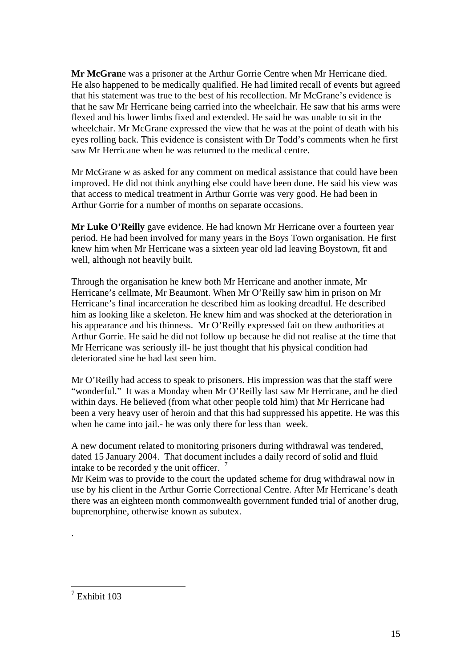**Mr McGran**e was a prisoner at the Arthur Gorrie Centre when Mr Herricane died. He also happened to be medically qualified. He had limited recall of events but agreed that his statement was true to the best of his recollection. Mr McGrane's evidence is that he saw Mr Herricane being carried into the wheelchair. He saw that his arms were flexed and his lower limbs fixed and extended. He said he was unable to sit in the wheelchair. Mr McGrane expressed the view that he was at the point of death with his eyes rolling back. This evidence is consistent with Dr Todd's comments when he first saw Mr Herricane when he was returned to the medical centre.

Mr McGrane w as asked for any comment on medical assistance that could have been improved. He did not think anything else could have been done. He said his view was that access to medical treatment in Arthur Gorrie was very good. He had been in Arthur Gorrie for a number of months on separate occasions.

**Mr Luke O'Reilly** gave evidence. He had known Mr Herricane over a fourteen year period. He had been involved for many years in the Boys Town organisation. He first knew him when Mr Herricane was a sixteen year old lad leaving Boystown, fit and well, although not heavily built.

Through the organisation he knew both Mr Herricane and another inmate, Mr Herricane's cellmate, Mr Beaumont. When Mr O'Reilly saw him in prison on Mr Herricane's final incarceration he described him as looking dreadful. He described him as looking like a skeleton. He knew him and was shocked at the deterioration in his appearance and his thinness. Mr O'Reilly expressed fait on thew authorities at Arthur Gorrie. He said he did not follow up because he did not realise at the time that Mr Herricane was seriously ill- he just thought that his physical condition had deteriorated sine he had last seen him.

Mr O'Reilly had access to speak to prisoners. His impression was that the staff were "wonderful." It was a Monday when Mr O'Reilly last saw Mr Herricane, and he died within days. He believed (from what other people told him) that Mr Herricane had been a very heavy user of heroin and that this had suppressed his appetite. He was this when he came into jail.- he was only there for less than week.

A new document related to monitoring prisoners during withdrawal was tendered, dated 15 January 2004. That document includes a daily record of solid and fluid intake to be recorded y the unit officer.  $\frac{7}{1}$ 

Mr Keim was to provide to the court the updated scheme for drug withdrawal now in use by his client in the Arthur Gorrie Correctional Centre. After Mr Herricane's death there was an eighteen month commonwealth government funded trial of another drug, buprenorphine, otherwise known as subutex.

.

<u>.</u>

<sup>7</sup> Exhibit 103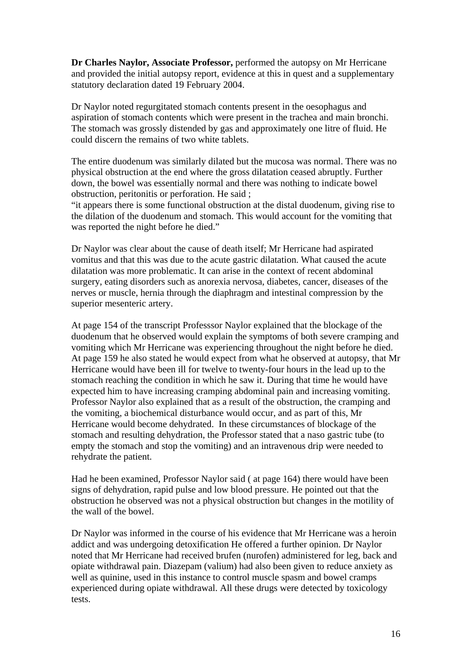**Dr Charles Naylor, Associate Professor,** performed the autopsy on Mr Herricane and provided the initial autopsy report, evidence at this in quest and a supplementary statutory declaration dated 19 February 2004.

Dr Naylor noted regurgitated stomach contents present in the oesophagus and aspiration of stomach contents which were present in the trachea and main bronchi. The stomach was grossly distended by gas and approximately one litre of fluid. He could discern the remains of two white tablets.

The entire duodenum was similarly dilated but the mucosa was normal. There was no physical obstruction at the end where the gross dilatation ceased abruptly. Further down, the bowel was essentially normal and there was nothing to indicate bowel obstruction, peritonitis or perforation. He said ;

"it appears there is some functional obstruction at the distal duodenum, giving rise to the dilation of the duodenum and stomach. This would account for the vomiting that was reported the night before he died."

Dr Naylor was clear about the cause of death itself; Mr Herricane had aspirated vomitus and that this was due to the acute gastric dilatation. What caused the acute dilatation was more problematic. It can arise in the context of recent abdominal surgery, eating disorders such as anorexia nervosa, diabetes, cancer, diseases of the nerves or muscle, hernia through the diaphragm and intestinal compression by the superior mesenteric artery.

At page 154 of the transcript Professsor Naylor explained that the blockage of the duodenum that he observed would explain the symptoms of both severe cramping and vomiting which Mr Herricane was experiencing throughout the night before he died. At page 159 he also stated he would expect from what he observed at autopsy, that Mr Herricane would have been ill for twelve to twenty-four hours in the lead up to the stomach reaching the condition in which he saw it. During that time he would have expected him to have increasing cramping abdominal pain and increasing vomiting. Professor Naylor also explained that as a result of the obstruction, the cramping and the vomiting, a biochemical disturbance would occur, and as part of this, Mr Herricane would become dehydrated. In these circumstances of blockage of the stomach and resulting dehydration, the Professor stated that a naso gastric tube (to empty the stomach and stop the vomiting) and an intravenous drip were needed to rehydrate the patient.

Had he been examined, Professor Naylor said ( at page 164) there would have been signs of dehydration, rapid pulse and low blood pressure. He pointed out that the obstruction he observed was not a physical obstruction but changes in the motility of the wall of the bowel.

Dr Naylor was informed in the course of his evidence that Mr Herricane was a heroin addict and was undergoing detoxification He offered a further opinion. Dr Naylor noted that Mr Herricane had received brufen (nurofen) administered for leg, back and opiate withdrawal pain. Diazepam (valium) had also been given to reduce anxiety as well as quinine, used in this instance to control muscle spasm and bowel cramps experienced during opiate withdrawal. All these drugs were detected by toxicology tests.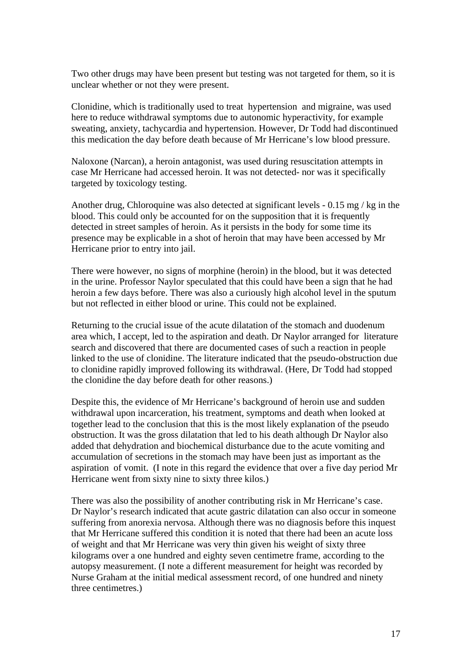Two other drugs may have been present but testing was not targeted for them, so it is unclear whether or not they were present.

Clonidine, which is traditionally used to treat hypertension and migraine, was used here to reduce withdrawal symptoms due to autonomic hyperactivity, for example sweating, anxiety, tachycardia and hypertension. However, Dr Todd had discontinued this medication the day before death because of Mr Herricane's low blood pressure.

Naloxone (Narcan), a heroin antagonist, was used during resuscitation attempts in case Mr Herricane had accessed heroin. It was not detected- nor was it specifically targeted by toxicology testing.

Another drug, Chloroquine was also detected at significant levels  $-0.15$  mg/kg in the blood. This could only be accounted for on the supposition that it is frequently detected in street samples of heroin. As it persists in the body for some time its presence may be explicable in a shot of heroin that may have been accessed by Mr Herricane prior to entry into jail.

There were however, no signs of morphine (heroin) in the blood, but it was detected in the urine. Professor Naylor speculated that this could have been a sign that he had heroin a few days before. There was also a curiously high alcohol level in the sputum but not reflected in either blood or urine. This could not be explained.

Returning to the crucial issue of the acute dilatation of the stomach and duodenum area which, I accept, led to the aspiration and death. Dr Naylor arranged for literature search and discovered that there are documented cases of such a reaction in people linked to the use of clonidine. The literature indicated that the pseudo-obstruction due to clonidine rapidly improved following its withdrawal. (Here, Dr Todd had stopped the clonidine the day before death for other reasons.)

Despite this, the evidence of Mr Herricane's background of heroin use and sudden withdrawal upon incarceration, his treatment, symptoms and death when looked at together lead to the conclusion that this is the most likely explanation of the pseudo obstruction. It was the gross dilatation that led to his death although Dr Naylor also added that dehydration and biochemical disturbance due to the acute vomiting and accumulation of secretions in the stomach may have been just as important as the aspiration of vomit. (I note in this regard the evidence that over a five day period Mr Herricane went from sixty nine to sixty three kilos.)

There was also the possibility of another contributing risk in Mr Herricane's case. Dr Naylor's research indicated that acute gastric dilatation can also occur in someone suffering from anorexia nervosa. Although there was no diagnosis before this inquest that Mr Herricane suffered this condition it is noted that there had been an acute loss of weight and that Mr Herricane was very thin given his weight of sixty three kilograms over a one hundred and eighty seven centimetre frame, according to the autopsy measurement. (I note a different measurement for height was recorded by Nurse Graham at the initial medical assessment record, of one hundred and ninety three centimetres.)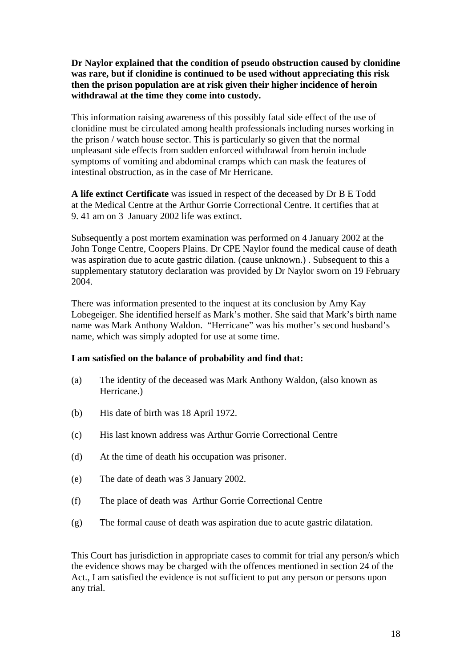**Dr Naylor explained that the condition of pseudo obstruction caused by clonidine was rare, but if clonidine is continued to be used without appreciating this risk then the prison population are at risk given their higher incidence of heroin withdrawal at the time they come into custody.** 

This information raising awareness of this possibly fatal side effect of the use of clonidine must be circulated among health professionals including nurses working in the prison / watch house sector. This is particularly so given that the normal unpleasant side effects from sudden enforced withdrawal from heroin include symptoms of vomiting and abdominal cramps which can mask the features of intestinal obstruction, as in the case of Mr Herricane.

**A life extinct Certificate** was issued in respect of the deceased by Dr B E Todd at the Medical Centre at the Arthur Gorrie Correctional Centre. It certifies that at 9. 41 am on 3 January 2002 life was extinct.

Subsequently a post mortem examination was performed on 4 January 2002 at the John Tonge Centre, Coopers Plains. Dr CPE Naylor found the medical cause of death was aspiration due to acute gastric dilation. (cause unknown.) . Subsequent to this a supplementary statutory declaration was provided by Dr Naylor sworn on 19 February 2004.

There was information presented to the inquest at its conclusion by Amy Kay Lobegeiger. She identified herself as Mark's mother. She said that Mark's birth name name was Mark Anthony Waldon. "Herricane" was his mother's second husband's name, which was simply adopted for use at some time.

# **I am satisfied on the balance of probability and find that:**

- (a) The identity of the deceased was Mark Anthony Waldon, (also known as Herricane.)
- (b) His date of birth was 18 April 1972.
- (c) His last known address was Arthur Gorrie Correctional Centre
- (d) At the time of death his occupation was prisoner.
- (e) The date of death was 3 January 2002.
- (f) The place of death was Arthur Gorrie Correctional Centre
- (g) The formal cause of death was aspiration due to acute gastric dilatation.

This Court has jurisdiction in appropriate cases to commit for trial any person/s which the evidence shows may be charged with the offences mentioned in section 24 of the Act., I am satisfied the evidence is not sufficient to put any person or persons upon any trial.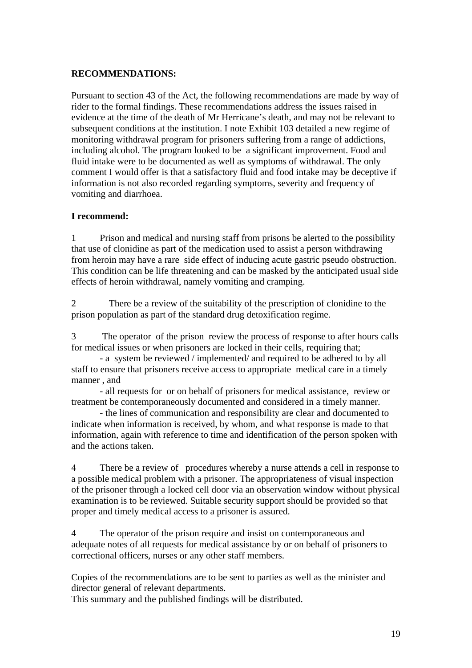## **RECOMMENDATIONS:**

Pursuant to section 43 of the Act, the following recommendations are made by way of rider to the formal findings. These recommendations address the issues raised in evidence at the time of the death of Mr Herricane's death, and may not be relevant to subsequent conditions at the institution. I note Exhibit 103 detailed a new regime of monitoring withdrawal program for prisoners suffering from a range of addictions, including alcohol. The program looked to be a significant improvement. Food and fluid intake were to be documented as well as symptoms of withdrawal. The only comment I would offer is that a satisfactory fluid and food intake may be deceptive if information is not also recorded regarding symptoms, severity and frequency of vomiting and diarrhoea.

## **I recommend:**

1 Prison and medical and nursing staff from prisons be alerted to the possibility that use of clonidine as part of the medication used to assist a person withdrawing from heroin may have a rare side effect of inducing acute gastric pseudo obstruction. This condition can be life threatening and can be masked by the anticipated usual side effects of heroin withdrawal, namely vomiting and cramping.

2 There be a review of the suitability of the prescription of clonidine to the prison population as part of the standard drug detoxification regime.

3 The operator of the prison review the process of response to after hours calls for medical issues or when prisoners are locked in their cells, requiring that;

- a system be reviewed / implemented/ and required to be adhered to by all staff to ensure that prisoners receive access to appropriate medical care in a timely manner , and

- all requests for or on behalf of prisoners for medical assistance, review or treatment be contemporaneously documented and considered in a timely manner.

- the lines of communication and responsibility are clear and documented to indicate when information is received, by whom, and what response is made to that information, again with reference to time and identification of the person spoken with and the actions taken.

4 There be a review of procedures whereby a nurse attends a cell in response to a possible medical problem with a prisoner. The appropriateness of visual inspection of the prisoner through a locked cell door via an observation window without physical examination is to be reviewed. Suitable security support should be provided so that proper and timely medical access to a prisoner is assured.

4 The operator of the prison require and insist on contemporaneous and adequate notes of all requests for medical assistance by or on behalf of prisoners to correctional officers, nurses or any other staff members.

Copies of the recommendations are to be sent to parties as well as the minister and director general of relevant departments.

This summary and the published findings will be distributed.